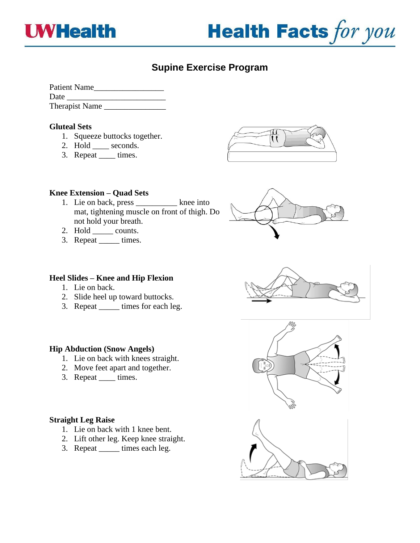



# **Supine Exercise Program**

| <b>Patient Name</b>   |  |
|-----------------------|--|
| Date                  |  |
| <b>Therapist Name</b> |  |

## **Gluteal Sets**

- 1. Squeeze buttocks together.
- 2. Hold \_\_\_\_ seconds.
- 3. Repeat \_\_\_\_ times.



## **Knee Extension – Quad Sets**

- 1. Lie on back, press \_\_\_\_\_\_\_\_\_\_ knee into mat, tightening muscle on front of thigh. Do not hold your breath.
- 2. Hold \_\_\_\_\_\_\_ counts.
- 3. Repeat \_\_\_\_\_\_ times.



## **Heel Slides – Knee and Hip Flexion**

- 1. Lie on back.
- 2. Slide heel up toward buttocks.
- 3. Repeat \_\_\_\_\_ times for each leg.

# **Hip Abduction (Snow Angels)**

- 1. Lie on back with knees straight.
- 2. Move feet apart and together.
- 3. Repeat \_\_\_\_\_\_ times.

#### **Straight Leg Raise**

- 1. Lie on back with 1 knee bent.
- 2. Lift other leg. Keep knee straight.
- 3. Repeat \_\_\_\_\_ times each leg.